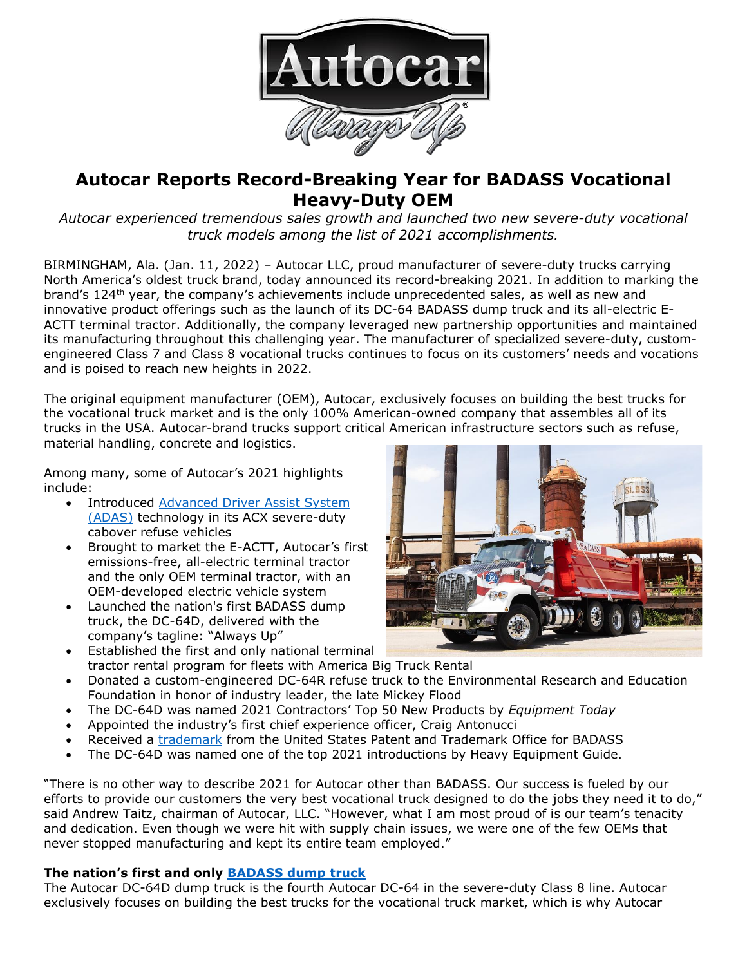

# **Autocar Reports Record-Breaking Year for BADASS Vocational Heavy-Duty OEM**

*Autocar experienced tremendous sales growth and launched two new severe-duty vocational truck models among the list of 2021 accomplishments.*

BIRMINGHAM, Ala. (Jan. 11, 2022) – Autocar LLC, proud manufacturer of severe-duty trucks carrying North America's oldest truck brand, today announced its record-breaking 2021. In addition to marking the brand's 124<sup>th</sup> year, the company's achievements include unprecedented sales, as well as new and innovative product offerings such as the launch of its DC-64 BADASS dump truck and its all-electric E-ACTT terminal tractor. Additionally, the company leveraged new partnership opportunities and maintained its manufacturing throughout this challenging year. The manufacturer of specialized severe-duty, customengineered Class 7 and Class 8 vocational trucks continues to focus on its customers' needs and vocations and is poised to reach new heights in 2022.

The original equipment manufacturer (OEM), Autocar, exclusively focuses on building the best trucks for the vocational truck market and is the only 100% American-owned company that assembles all of its trucks in the USA. Autocar-brand trucks support critical American infrastructure sectors such as refuse, material handling, concrete and logistics.

Among many, some of Autocar's 2021 highlights include:

- Introduced [Advanced Driver](https://www.mwsmag.com/autocar-becomes-first-truck-manufacturer-to-offer-adas/) Assist System [\(ADAS\)](https://www.mwsmag.com/autocar-becomes-first-truck-manufacturer-to-offer-adas/) technology in its ACX severe-duty cabover refuse vehicles
- Brought to market the E-ACTT, Autocar's first emissions-free, all-electric terminal tractor and the only OEM terminal tractor, with an OEM-developed electric vehicle system
- Launched the nation's first BADASS dump truck, the DC-64D, delivered with the company's tagline: "Always Up"
- Established the first and only national terminal tractor rental program for fleets with America Big Truck Rental



- Donated a custom-engineered DC-64R refuse truck to the Environmental Research and Education Foundation in honor of industry leader, the late Mickey Flood
- The DC-64D was named 2021 Contractors' Top 50 New Products by *Equipment Today*
- Appointed the industry's first chief experience officer, Craig Antonucci
- Received a [trademark](https://bit.ly/3y20TOl) from the United States Patent and Trademark Office for BADASS
- The DC-64D was named one of the top 2021 introductions by Heavy Equipment Guide.

"There is no other way to describe 2021 for Autocar other than BADASS. Our success is fueled by our efforts to provide our customers the very best vocational truck designed to do the jobs they need it to do," said Andrew Taitz, chairman of Autocar, LLC. "However, what I am most proud of is our team's tenacity and dedication. Even though we were hit with supply chain issues, we were one of the few OEMs that never stopped manufacturing and kept its entire team employed."

# **The nation's first and only [BADASS dump truck](https://bit.ly/3y20TOl)**

The Autocar DC-64D dump truck is the fourth Autocar DC-64 in the severe-duty Class 8 line. Autocar exclusively focuses on building the best trucks for the vocational truck market, which is why Autocar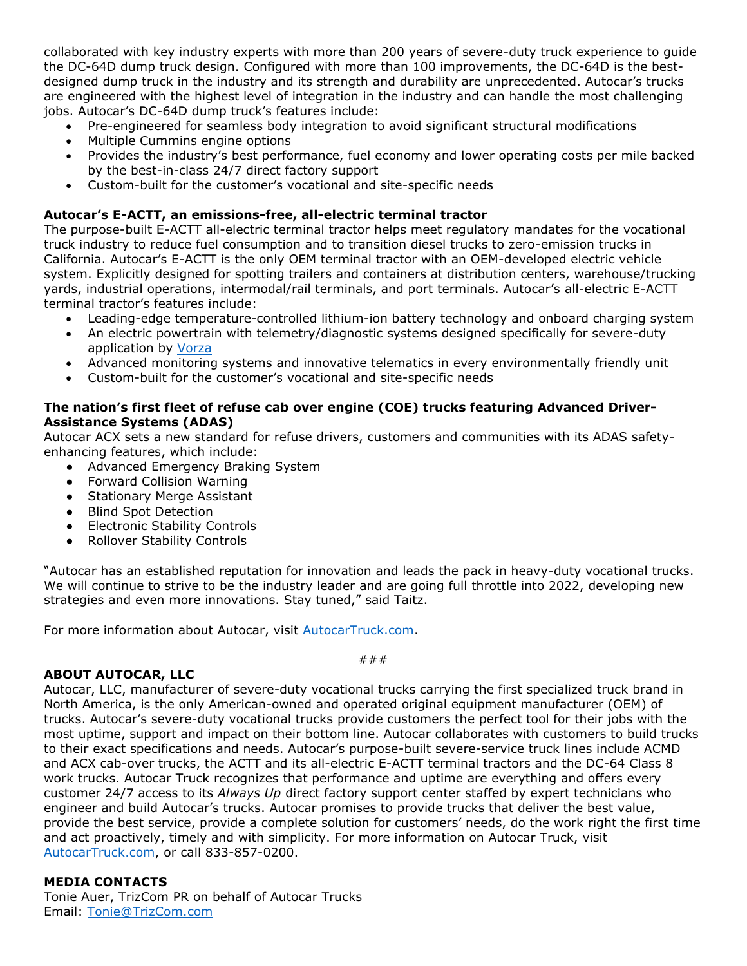collaborated with key industry experts with more than 200 years of severe-duty truck experience to guide the DC-64D dump truck design. Configured with more than 100 improvements, the DC-64D is the bestdesigned dump truck in the industry and its strength and durability are unprecedented. Autocar's trucks are engineered with the highest level of integration in the industry and can handle the most challenging jobs. Autocar's DC-64D dump truck's features include:

- Pre-engineered for seamless body integration to avoid significant structural modifications
- Multiple Cummins engine options
- Provides the industry's best performance, fuel economy and lower operating costs per mile backed by the best-in-class 24/7 direct factory support
- Custom-built for the customer's vocational and site-specific needs

## **Autocar's E-ACTT, an emissions-free, all-electric terminal tractor**

The purpose-built E-ACTT all-electric terminal tractor helps meet regulatory mandates for the vocational truck industry to reduce fuel consumption and to transition diesel trucks to zero-emission trucks in California. Autocar's E-ACTT is the only OEM terminal tractor with an OEM-developed electric vehicle system. Explicitly designed for spotting trailers and containers at distribution centers, warehouse/trucking yards, industrial operations, intermodal/rail terminals, and port terminals. Autocar's all-electric E-ACTT terminal tractor's features include:

- Leading-edge temperature-controlled lithium-ion battery technology and onboard charging system
- An electric powertrain with telemetry/diagnostic systems designed specifically for severe-duty application by [Vorza](https://bit.ly/3eFLIlM)
- Advanced monitoring systems and innovative telematics in every environmentally friendly unit
- Custom-built for the customer's vocational and site-specific needs

## **The nation's first fleet of refuse cab over engine (COE) trucks featuring Advanced Driver-Assistance Systems (ADAS)**

Autocar ACX sets a new standard for refuse drivers, customers and communities with its ADAS safetyenhancing features, which include:

- Advanced Emergency Braking System
- Forward Collision Warning
- Stationary Merge Assistant
- Blind Spot Detection
- Electronic Stability Controls
- Rollover Stability Controls

"Autocar has an established reputation for innovation and leads the pack in heavy-duty vocational trucks. We will continue to strive to be the industry leader and are going full throttle into 2022, developing new strategies and even more innovations. Stay tuned," said Taitz.

For more information about Autocar, visit **AutocarTruck.com**.

###

### **ABOUT AUTOCAR, LLC**

Autocar, LLC, manufacturer of severe-duty vocational trucks carrying the first specialized truck brand in North America, is the only American-owned and operated original equipment manufacturer (OEM) of trucks. Autocar's severe-duty vocational trucks provide customers the perfect tool for their jobs with the most uptime, support and impact on their bottom line. Autocar collaborates with customers to build trucks to their exact specifications and needs. Autocar's purpose-built severe-service truck lines include ACMD and ACX cab-over trucks, the ACTT and its all-electric E-ACTT terminal tractors and the DC-64 Class 8 work trucks. Autocar Truck recognizes that performance and uptime are everything and offers every customer 24/7 access to its *Always Up* direct factory support center staffed by expert technicians who engineer and build Autocar's trucks. Autocar promises to provide trucks that deliver the best value, provide the best service, provide a complete solution for customers' needs, do the work right the first time and act proactively, timely and with simplicity. For more information on Autocar Truck, visit [AutocarTruck.com,](https://bit.ly/3y20TOl) or call 833-857-0200.

### **MEDIA CONTACTS**

Tonie Auer, TrizCom PR on behalf of Autocar Trucks Email: [Tonie@TrizCom.com](mailto:Tonie@TrizCom.com)